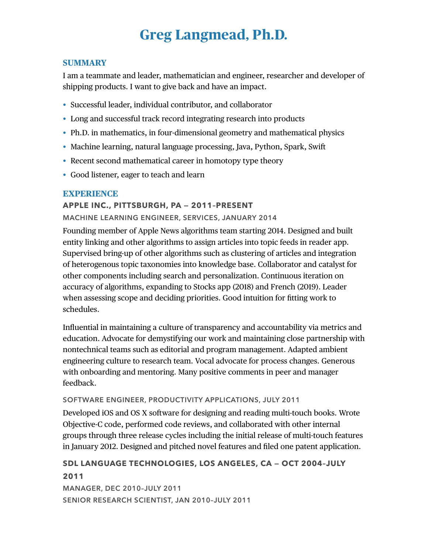# **Greg Langmead, Ph.D.**

#### **SUMMARY**

I am a teammate and leader, mathematician and engineer, researcher and developer of shipping products. I want to give back and have an impact.

- Successful leader, individual contributor, and collaborator
- Long and successful track record integrating research into products
- Ph.D. in mathematics, in four-dimensional geometry and mathematical physics
- Machine learning, natural language processing, Java, Python, Spark, Swift
- Recent second mathematical career in homotopy type theory
- Good listener, eager to teach and learn

## **EXPERIENCE**

## **APPLE INC., PITTSBURGH, PA — 2011–PRESENT**

**MACHINE LEARNING ENGINEER, SERVICES, JANUARY 2014**

Founding member of Apple News algorithms team starting 2014. Designed and built entity linking and other algorithms to assign articles into topic feeds in reader app. Supervised bring-up of other algorithms such as clustering of articles and integration of heterogenous topic taxonomies into knowledge base. Collaborator and catalyst for other components including search and personalization. Continuous iteration on accuracy of algorithms, expanding to Stocks app (2018) and French (2019). Leader when assessing scope and deciding priorities. Good intuition for fitting work to schedules.

Influential in maintaining a culture of transparency and accountability via metrics and education. Advocate for demystifying our work and maintaining close partnership with nontechnical teams such as editorial and program management. Adapted ambient engineering culture to research team. Vocal advocate for process changes. Generous with onboarding and mentoring. Many positive comments in peer and manager feedback.

## **SOFTWARE ENGINEER, PRODUCTIVITY APPLICATIONS, JULY 2011**

Developed iOS and OS X software for designing and reading multi-touch books. Wrote Objective-C code, performed code reviews, and collaborated with other internal groups through three release cycles including the initial release of multi-touch features in January 2012. Designed and pitched novel features and filed one patent application.

# **SDL LANGUAGE TECHNOLOGIES, LOS ANGELES, CA — OCT 2004–JULY 2011**

**MANAGER, DEC 2010–JULY 2011 SENIOR RESEARCH SCIENTIST, JAN 2010–JULY 2011**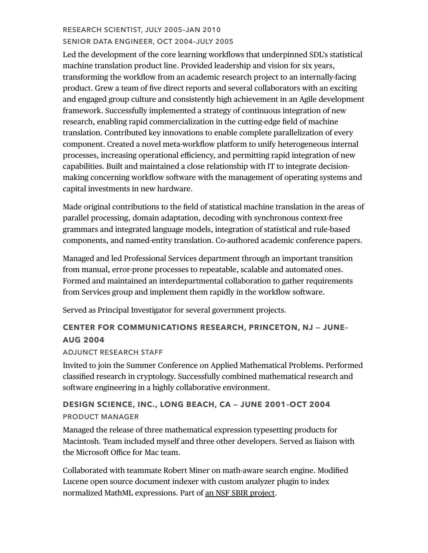## **RESEARCH SCIENTIST, JULY 2005–JAN 2010 SENIOR DATA ENGINEER, OCT 2004–JULY 2005**

Led the development of the core learning workflows that underpinned SDL's statistical machine translation product line. Provided leadership and vision for six years, transforming the workflow from an academic research project to an internally-facing product. Grew a team of five direct reports and several collaborators with an exciting and engaged group culture and consistently high achievement in an Agile development framework. Successfully implemented a strategy of continuous integration of new research, enabling rapid commercialization in the cutting-edge field of machine translation. Contributed key innovations to enable complete parallelization of every component. Created a novel meta-workflow platform to unify heterogeneous internal processes, increasing operational efficiency, and permitting rapid integration of new capabilities. Built and maintained a close relationship with IT to integrate decisionmaking concerning workflow software with the management of operating systems and capital investments in new hardware.

Made original contributions to the field of statistical machine translation in the areas of parallel processing, domain adaptation, decoding with synchronous context-free grammars and integrated language models, integration of statistical and rule-based components, and named-entity translation. Co-authored academic conference papers.

Managed and led Professional Services department through an important transition from manual, error-prone processes to repeatable, scalable and automated ones. Formed and maintained an interdepartmental collaboration to gather requirements from Services group and implement them rapidly in the workflow software.

Served as Principal Investigator for several government projects.

# **CENTER FOR COMMUNICATIONS RESEARCH, PRINCETON, NJ — JUNE– AUG 2004**

## **ADJUNCT RESEARCH STAFF**

Invited to join the Summer Conference on Applied Mathematical Problems. Performed classified research in cryptology. Successfully combined mathematical research and software engineering in a highly collaborative environment.

# **DESIGN SCIENCE, INC., LONG BEACH, CA — JUNE 2001–OCT 2004 PRODUCT MANAGER**

Managed the release of three mathematical expression typesetting products for Macintosh. Team included myself and three other developers. Served as liaison with the Microsoft Office for Mac team.

Collaborated with teammate Robert Miner on math-aware search engine. Modified Lucene open source document indexer with custom analyzer plugin to index normalized MathML expressions. Part of [an NSF SBIR project](https://www.sbir.gov/sbirsearch/detail/145099).